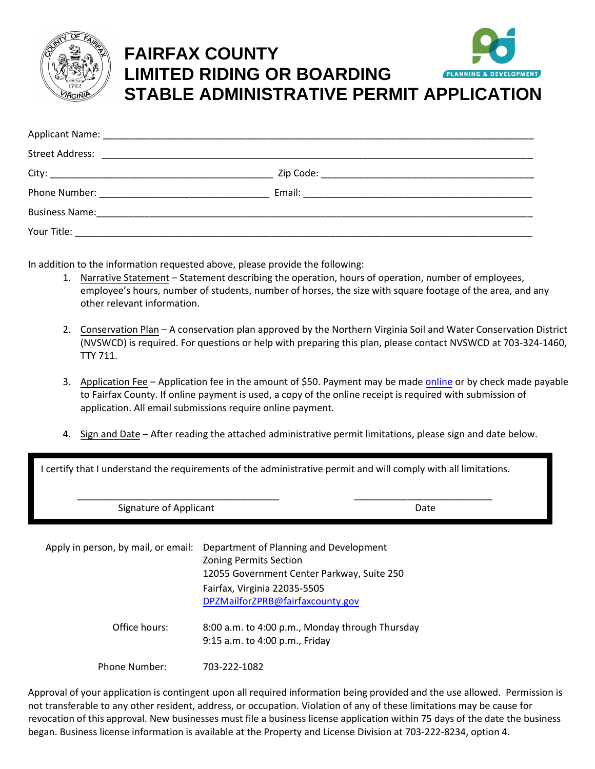

## **FAIRFAX COUNTY LIMITED RIDING OR BOARDING PLANNING& STABLE ADMINISTRATIVE PERMIT APPLICATION**

In addition to the information requested above, please provide the following:

- 1. Narrative Statement Statement describing the operation, hours of operation, number of employees, employee's hours, number of students, number of horses, the size with square footage of the area, and any other relevant information.
- 2. Conservation Plan A conservation plan approved by the Northern Virginia Soil and Water Conservation District (NVSWCD) is required. For questions or help with preparing this plan, please contact NVSWCD at 703-324-1460, TTY 711.
- 3. Application Fee Application fee in the amount of \$50. Payment may be made [online](https://www.fairfaxcounty.gov/planning-development/online-payments) or by check made payable to Fairfax County. If online payment is used, a copy of the online receipt is required with submission of application. All email submissions require online payment.
- 4. Sign and Date After reading the attached administrative permit limitations, please sign and date below.

I certify that I understand the requirements of the administrative permit and will comply with all limitations.

\_\_\_\_\_\_\_\_\_\_\_\_\_\_\_\_\_\_\_\_\_\_\_\_\_\_\_\_\_\_\_\_\_\_\_\_\_\_ \_\_\_\_\_\_\_\_\_\_\_\_\_\_\_\_\_\_\_\_\_\_\_\_\_\_

Signature of Applicant Date Date Date Date

| Apply in person, by mail, or email: | Department of Planning and Development<br><b>Zoning Permits Section</b><br>12055 Government Center Parkway, Suite 250 |  |
|-------------------------------------|-----------------------------------------------------------------------------------------------------------------------|--|
|                                     | Fairfax, Virginia 22035-5505<br>DPZMailforZPRB@fairfaxcounty.gov                                                      |  |
| Office hours:                       | 8:00 a.m. to 4:00 p.m., Monday through Thursday<br>9:15 a.m. to 4:00 p.m., Friday                                     |  |
| Phone Number:                       | 703-222-1082                                                                                                          |  |

Approval of your application is contingent upon all required information being provided and the use allowed. Permission is not transferable to any other resident, address, or occupation. Violation of any of these limitations may be cause for revocation of this approval. New businesses must file a business license application within 75 days of the date the business began. Business license information is available at the Property and License Division at 703-222-8234, option 4.